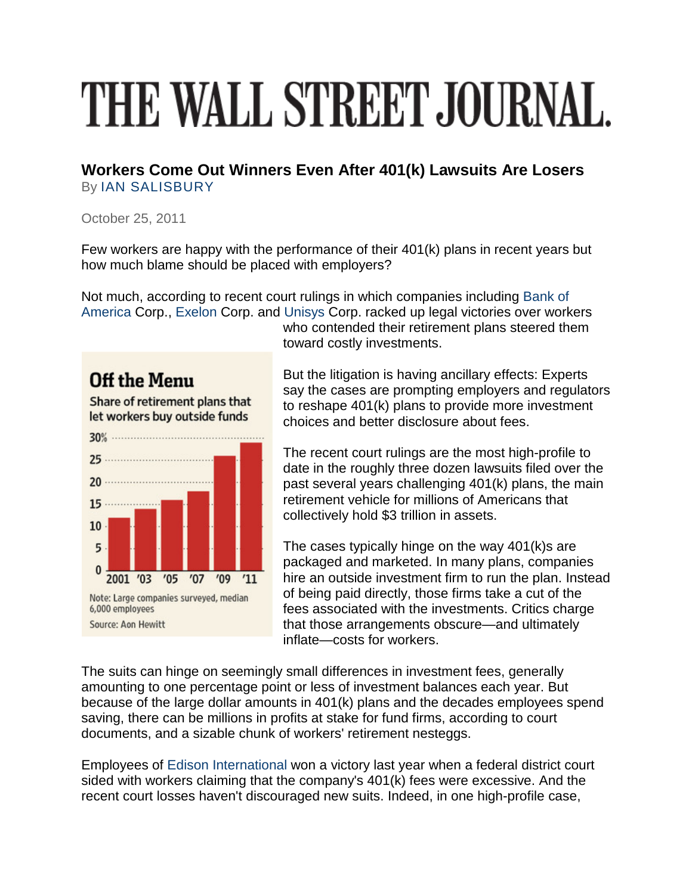## THE WALL STREET JOURNAL.

**Workers Come Out Winners Even After 401(k) Lawsuits Are Losers** By [IAN SALISBURY](http://online.wsj.com/search/term.html?KEYWORDS=IAN+SALISBURY&bylinesearch=true)

October 25, 2011

Few workers are happy with the performance of their 401(k) plans in recent years but how much blame should be placed with employers?

Not much, according to recent court rulings in which companies including [Bank of](http://online.wsj.com/public/quotes/main.html?type=djn&symbol=BAC)  [America](http://online.wsj.com/public/quotes/main.html?type=djn&symbol=BAC) Corp., [Exelon](http://online.wsj.com/public/quotes/main.html?type=djn&symbol=EXC) Corp. and [Unisys](http://online.wsj.com/public/quotes/main.html?type=djn&symbol=UIS) Corp. racked up legal victories over workers

who contended their retirement plans steered them toward costly investments.

Off the Menu

Share of retirement plans that let workers buy outside funds



But the litigation is having ancillary effects: Experts say the cases are prompting employers and regulators to reshape 401(k) plans to provide more investment choices and better disclosure about fees.

The recent court rulings are the most high-profile to date in the roughly three dozen lawsuits filed over the past several years challenging 401(k) plans, the main retirement vehicle for millions of Americans that collectively hold \$3 trillion in assets.

The cases typically hinge on the way 401(k)s are packaged and marketed. In many plans, companies hire an outside investment firm to run the plan. Instead of being paid directly, those firms take a cut of the fees associated with the investments. Critics charge that those arrangements obscure—and ultimately inflate—costs for workers.

The suits can hinge on seemingly small differences in investment fees, generally amounting to one percentage point or less of investment balances each year. But because of the large dollar amounts in 401(k) plans and the decades employees spend saving, there can be millions in profits at stake for fund firms, according to court documents, and a sizable chunk of workers' retirement nesteggs.

Employees of [Edison International](http://online.wsj.com/public/quotes/main.html?type=djn&symbol=EIX) won a victory last year when a federal district court sided with workers claiming that the company's 401(k) fees were excessive. And the recent court losses haven't discouraged new suits. Indeed, in one high-profile case,